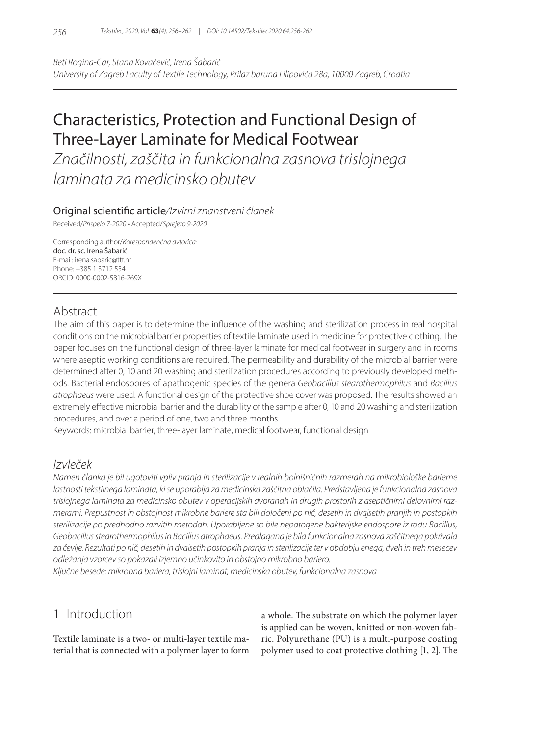*Beti Rogina-Car, Stana Kovačević, Irena Šabarić University of Zagreb Faculty of Textile Technology, Prilaz baruna Filipovića 28a, 10000 Zagreb, Croatia*

# Characteristics, Protection and Functional Design of Three-Layer Laminate for Medical Footwear

*Značilnosti, zaščita in funkcionalna zasnova trislojnega laminata za medicinsko obutev*

### Original scientific article*/Izvirni znanstveni članek*

Received/*Prispelo 7-2020* • Accepted/*Sprejeto 9-2020*

Corresponding author/*Korespondenčna avtorica:* doc. dr. sc. Irena Šabarić E-mail: irena.sabaric@ttf.hr Phone: +385 1 3712 554 ORCID: 0000-0002-5816-269X

# Abstract

The aim of this paper is to determine the influence of the washing and sterilization process in real hospital conditions on the microbial barrier properties of textile laminate used in medicine for protective clothing. The paper focuses on the functional design of three-layer laminate for medical footwear in surgery and in rooms where aseptic working conditions are required. The permeability and durability of the microbial barrier were determined after 0, 10 and 20 washing and sterilization procedures according to previously developed methods. Bacterial endospores of apathogenic species of the genera *Geobacillus stearothermophilus* and *Bacillus atrophaeus* were used. A functional design of the protective shoe cover was proposed. The results showed an extremely effective microbial barrier and the durability of the sample after 0, 10 and 20 washing and sterilization procedures, and over a period of one, two and three months.

Keywords: microbial barrier, three-layer laminate, medical footwear, functional design

### *Izvleček*

*Namen članka je bil ugotoviti vpliv pranja in sterilizacije v realnih bolnišničnih razmerah na mikrobiološke barierne lastnosti tekstilnega laminata, ki se uporablja za medicinska zaščitna oblačila. Predstavljena je funkcionalna zasnova trislojnega laminata za medicinsko obutev v operacijskih dvoranah in drugih prostorih z aseptičnimi delovnimi razmerami. Prepustnost in obstojnost mikrobne bariere sta bili določeni po nič, desetih in dvajsetih pranjih in postopkih sterilizacije po predhodno razvitih metodah. Uporabljene so bile nepatogene bakterijske endospore iz rodu Bacillus, Geobacillus stearothermophilus in Bacillus atrophaeus. Predlagana je bila funkcionalna zasnova zaščitnega pokrivala za čevlje. Rezultati po nič, desetih in dvajsetih postopkih pranja in sterilizacije ter v obdobju enega, dveh in treh mesecev odležanja vzorcev so pokazali izjemno učinkovito in obstojno mikrobno bariero.*

*Ključne besede: mikrobna bariera, trislojni laminat, medicinska obutev, funkcionalna zasnova*

# 1 Introduction

Textile laminate is a two- or multi-layer textile material that is connected with a polymer layer to form a whole. The substrate on which the polymer layer is applied can be woven, knitted or non-woven fabric. Polyurethane (PU) is a multi-purpose coating polymer used to coat protective clothing [1, 2]. The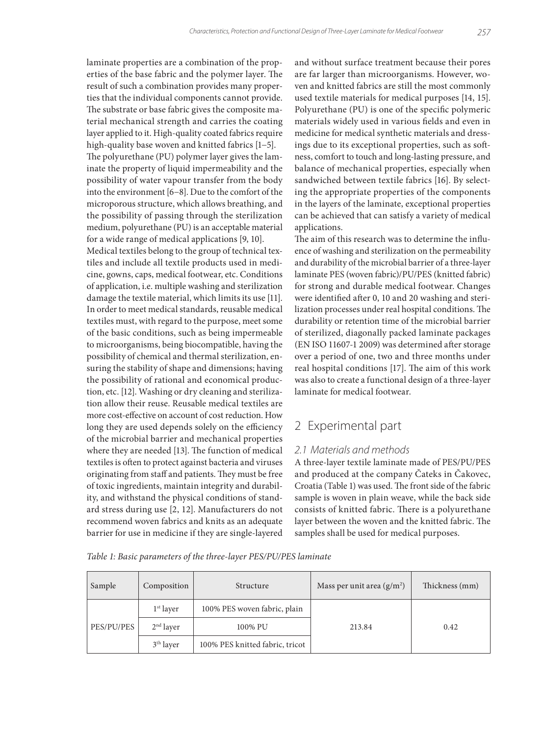laminate properties are a combination of the properties of the base fabric and the polymer layer. The result of such a combination provides many properties that the individual components cannot provide. The substrate or base fabric gives the composite material mechanical strength and carries the coating layer applied to it. High-quality coated fabrics require high-quality base woven and knitted fabrics [1−5]. The polyurethane (PU) polymer layer gives the laminate the property of liquid impermeability and the possibility of water vapour transfer from the body into the environment [6−8]. Due to the comfort of the microporous structure, which allows breathing, and the possibility of passing through the sterilization medium, polyurethane (PU) is an acceptable material for a wide range of medical applications [9, 10].

Medical textiles belong to the group of technical textiles and include all textile products used in medicine, gowns, caps, medical footwear, etc. Conditions of application, i.e. multiple washing and sterilization damage the textile material, which limits its use [11]. In order to meet medical standards, reusable medical textiles must, with regard to the purpose, meet some of the basic conditions, such as being impermeable to microorganisms, being biocompatible, having the possibility of chemical and thermal sterilization, ensuring the stability of shape and dimensions; having the possibility of rational and economical production, etc. [12]. Washing or dry cleaning and sterilization allow their reuse. Reusable medical textiles are more cost-effective on account of cost reduction. How long they are used depends solely on the efficiency of the microbial barrier and mechanical properties where they are needed [13]. The function of medical textiles is often to protect against bacteria and viruses originating from staff and patients. They must be free of toxic ingredients, maintain integrity and durability, and withstand the physical conditions of standard stress during use [2, 12]. Manufacturers do not recommend woven fabrics and knits as an adequate barrier for use in medicine if they are single-layered

and without surface treatment because their pores are far larger than microorganisms. However, woven and knitted fabrics are still the most commonly used textile materials for medical purposes [14, 15]. Polyurethane (PU) is one of the specific polymeric materials widely used in various fields and even in medicine for medical synthetic materials and dressings due to its exceptional properties, such as softness, comfort to touch and long-lasting pressure, and balance of mechanical properties, especially when sandwiched between textile fabrics [16]. By selecting the appropriate properties of the components in the layers of the laminate, exceptional properties can be achieved that can satisfy a variety of medical applications.

The aim of this research was to determine the influence of washing and sterilization on the permeability and durability of the microbial barrier of a three-layer laminate PES (woven fabric)/PU/PES (knitted fabric) for strong and durable medical footwear. Changes were identified after 0, 10 and 20 washing and sterilization processes under real hospital conditions. The durability or retention time of the microbial barrier of sterilized, diagonally packed laminate packages (EN ISO 11607-1 2009) was determined after storage over a period of one, two and three months under real hospital conditions [17]. The aim of this work was also to create a functional design of a three-layer laminate for medical footwear.

# 2 Experimental part

#### *2.1 Materials and methods*

A three-layer textile laminate made of PES/PU/PES and produced at the company Čateks in Čakovec, Croatia (Table 1) was used. The front side of the fabric sample is woven in plain weave, while the back side consists of knitted fabric. There is a polyurethane layer between the woven and the knitted fabric. The samples shall be used for medical purposes.

|  |  |  | Table 1: Basic parameters of the three-layer PES/PU/PES laminate |  |  |  |  |  |  |
|--|--|--|------------------------------------------------------------------|--|--|--|--|--|--|
|--|--|--|------------------------------------------------------------------|--|--|--|--|--|--|

| Sample     | Composition           | <b>Structure</b>                | Mass per unit area $(g/m2)$ | Thickness (mm) |
|------------|-----------------------|---------------------------------|-----------------------------|----------------|
|            | $1st$ layer           | 100% PES woven fabric, plain    |                             |                |
| PES/PU/PES | $2nd$ layer           | 100% PU                         | 213.84                      | 0.42           |
|            | 3 <sup>th</sup> layer | 100% PES knitted fabric, tricot |                             |                |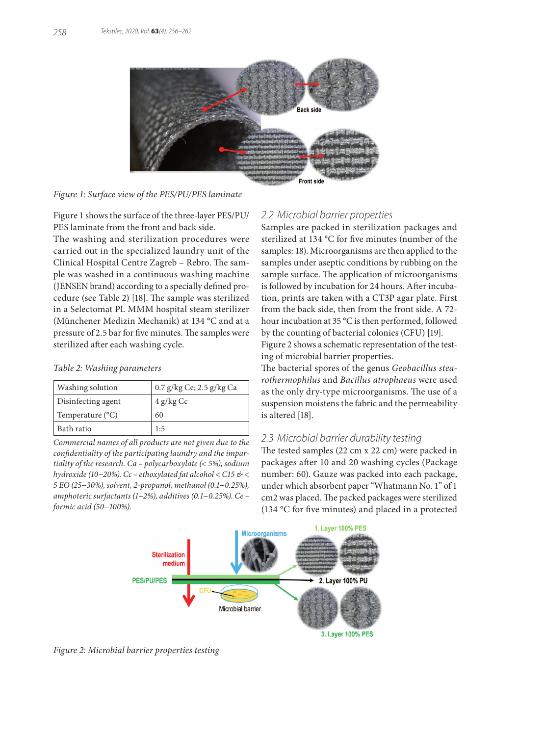

*Figure 1: Surface view of the PES/PU/PES laminate*

Figure 1 shows the surface of the three-layer PES/PU/ PES laminate from the front and back side.

The washing and sterilization procedures were carried out in the specialized laundry unit of the Clinical Hospital Centre Zagreb – Rebro. The sample was washed in a continuous washing machine (JENSEN brand) according to a specially defined procedure (see Table 2) [18]. The sample was sterilized in a Selectomat PL MMM hospital steam sterilizer (Münchener Medizin Mechanik) at 134 °C and at a pressure of 2.5 bar for five minutes. The samples were sterilized after each washing cycle.

#### *Table 2: Washing parameters*

| Washing solution   | 0.7 g/kg Ce; 2.5 g/kg Ca |
|--------------------|--------------------------|
| Disinfecting agent | $4$ g/kg Cc              |
| Temperature (°C)   | 60                       |
| Bath ratio         | 1:5                      |

*Commercial names of all products are not given due to the confidentiality of the participating laundry and the impartiality of the research. Ca – polycarboxylate (< 5%), sodium hydroxide (10−20%). Cc – ethoxylated fat alcohol < C15 & < 5 EO (25−30%), solvent, 2-propanol, methanol (0.1−0.25%), amphoteric surfactants (1−2%), additives (0.1−0.25%). Ce – formic acid (50−100%).*

### *2.2 Microbial barrier properties*

Samples are packed in sterilization packages and sterilized at 134 °C for five minutes (number of the samples: 18). Microorganisms are then applied to the samples under aseptic conditions by rubbing on the sample surface. The application of microorganisms is followed by incubation for 24 hours. After incubation, prints are taken with a CT3P agar plate. First from the back side, then from the front side. A 72 hour incubation at 35 °C is then performed, followed by the counting of bacterial colonies (CFU) [19].

Figure 2 shows a schematic representation of the testing of microbial barrier properties.

The bacterial spores of the genus *Geobacillus stearothermophilus* and *Bacillus atrophaeus* were used as the only dry-type microorganisms. The use of a suspension moistens the fabric and the permeability is altered [18].

#### *2.3 Microbial barrier durability testing*

The tested samples (22 cm x 22 cm) were packed in packages after 10 and 20 washing cycles (Package number: 60). Gauze was packed into each package, under which absorbent paper "Whatmann No. 1" of 1 cm2 was placed. The packed packages were sterilized (134 °C for five minutes) and placed in a protected



*Figure 2: Microbial barrier properties testing*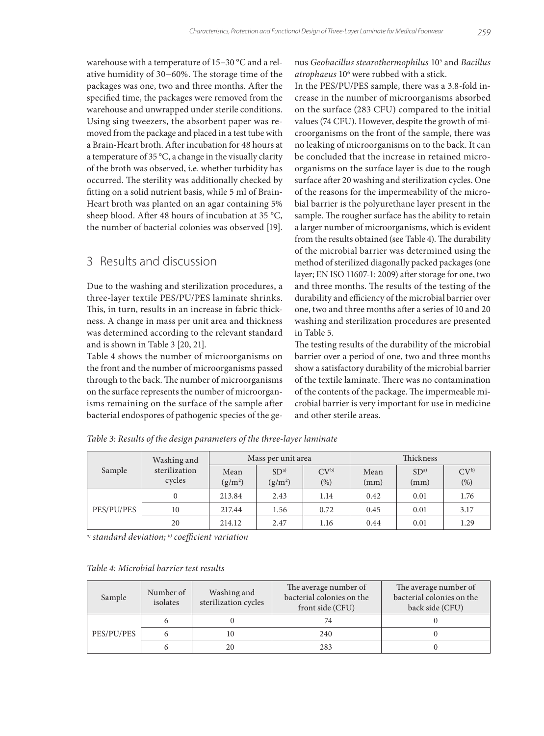warehouse with a temperature of 15−30 °C and a relative humidity of 30−60%. The storage time of the packages was one, two and three months. After the specified time, the packages were removed from the warehouse and unwrapped under sterile conditions. Using sing tweezers, the absorbent paper was removed from the package and placed in a test tube with a Brain-Heart broth. After incubation for 48 hours at a temperature of 35 °C, a change in the visually clarity of the broth was observed, i.e. whether turbidity has occurred. The sterility was additionally checked by fitting on a solid nutrient basis, while 5 ml of Brain-Heart broth was planted on an agar containing 5% sheep blood. After 48 hours of incubation at 35 °C, the number of bacterial colonies was observed [19].

### 3 Results and discussion

Due to the washing and sterilization procedures, a three-layer textile PES/PU/PES laminate shrinks. This, in turn, results in an increase in fabric thickness. A change in mass per unit area and thickness was determined according to the relevant standard and is shown in Table 3 [20, 21].

Table 4 shows the number of microorganisms on the front and the number of microorganisms passed through to the back. The number of microorganisms on the surface represents the number of microorganisms remaining on the surface of the sample after bacterial endospores of pathogenic species of the genus *Geobacillus stearothermophilus* 105 and *Bacillus atrophaeus* 106 were rubbed with a stick.

In the PES/PU/PES sample, there was a 3.8-fold increase in the number of microorganisms absorbed on the surface (283 CFU) compared to the initial values (74 CFU). However, despite the growth of microorganisms on the front of the sample, there was no leaking of microorganisms on to the back. It can be concluded that the increase in retained microorganisms on the surface layer is due to the rough surface after 20 washing and sterilization cycles. One of the reasons for the impermeability of the microbial barrier is the polyurethane layer present in the sample. The rougher surface has the ability to retain a larger number of microorganisms, which is evident from the results obtained (see Table 4). The durability of the microbial barrier was determined using the method of sterilized diagonally packed packages (one layer; EN ISO 11607-1: 2009) after storage for one, two and three months. The results of the testing of the durability and efficiency of the microbial barrier over one, two and three months after a series of 10 and 20 washing and sterilization procedures are presented in Table 5.

The testing results of the durability of the microbial barrier over a period of one, two and three months show a satisfactory durability of the microbial barrier of the textile laminate. There was no contamination of the contents of the package. The impermeable microbial barrier is very important for use in medicine and other sterile areas.

|            | Washing and   | Mass per unit area |                 |                 | Thickness |                 |                 |
|------------|---------------|--------------------|-----------------|-----------------|-----------|-----------------|-----------------|
| Sample     | sterilization | Mean               | SD <sup>a</sup> | CV <sub>p</sub> | Mean      | SD <sup>a</sup> | CV <sub>p</sub> |
|            | cycles        | $(g/m^2)$          | $(g/m^2)$       | $(\%)$          | (mm)      | (mm)            | (%)             |
|            | $\mathbf{0}$  | 213.84             | 2.43            | 1.14            | 0.42      | 0.01            | 1.76            |
| PES/PU/PES | 10            | 217.44             | 1.56            | 0.72            | 0.45      | 0.01            | 3.17            |
|            | 20            | 214.12             | 2.47            | 1.16            | 0.44      | 0.01            | 1.29            |

*Table 3: Results of the design parameters of the three-layer laminate*

*a) standard deviation; b) coefficient variation*

#### *Table 4: Microbial barrier test results*

| Sample     | Number of<br>isolates | Washing and<br>sterilization cycles | The average number of<br>bacterial colonies on the<br>front side (CFU) | The average number of<br>bacterial colonies on the<br>back side (CFU) |  |
|------------|-----------------------|-------------------------------------|------------------------------------------------------------------------|-----------------------------------------------------------------------|--|
|            |                       |                                     | 74                                                                     |                                                                       |  |
| PES/PU/PES |                       | 10                                  | 240                                                                    |                                                                       |  |
|            |                       | 20                                  | 283                                                                    |                                                                       |  |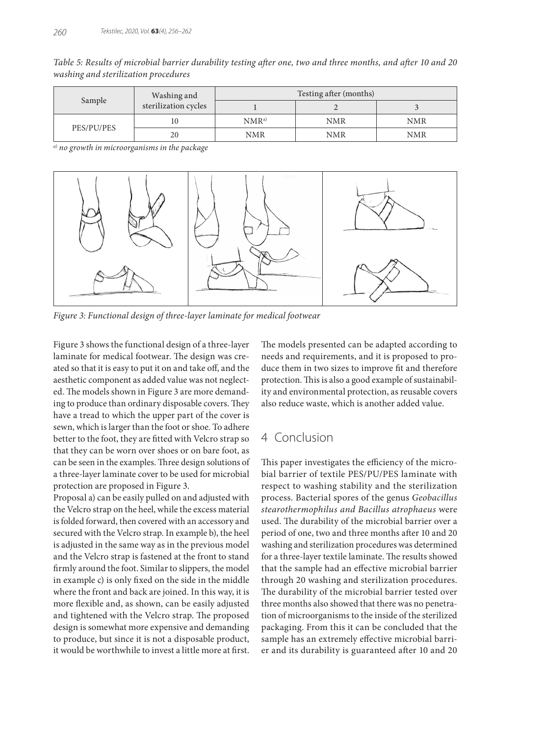*Table 5: Results of microbial barrier durability testing after one, two and three months, and after 10 and 20 washing and sterilization procedures*

|            | Washing and          | Testing after (months) |     |            |  |
|------------|----------------------|------------------------|-----|------------|--|
| Sample     | sterilization cycles |                        |     |            |  |
|            | 10                   | NMR <sub>a</sub>       | NMR | <b>NMR</b> |  |
| PES/PU/PES | 20                   | NMR                    | NMR | NMR        |  |

*a) no growth in microorganisms in the package*



*Figure 3: Functional design of three-layer laminate for medical footwear*

Figure 3 shows the functional design of a three-layer laminate for medical footwear. The design was created so that it is easy to put it on and take off, and the aesthetic component as added value was not neglected. The models shown in Figure 3 are more demanding to produce than ordinary disposable covers. They have a tread to which the upper part of the cover is sewn, which is larger than the foot or shoe. To adhere better to the foot, they are fitted with Velcro strap so that they can be worn over shoes or on bare foot, as can be seen in the examples. Three design solutions of a three-layer laminate cover to be used for microbial protection are proposed in Figure 3.

Proposal a) can be easily pulled on and adjusted with the Velcro strap on the heel, while the excess material is folded forward, then covered with an accessory and secured with the Velcro strap. In example b), the heel is adjusted in the same way as in the previous model and the Velcro strap is fastened at the front to stand firmly around the foot. Similar to slippers, the model in example c) is only fixed on the side in the middle where the front and back are joined. In this way, it is more flexible and, as shown, can be easily adjusted and tightened with the Velcro strap. The proposed design is somewhat more expensive and demanding to produce, but since it is not a disposable product, it would be worthwhile to invest a little more at first.

The models presented can be adapted according to needs and requirements, and it is proposed to produce them in two sizes to improve fit and therefore protection. This is also a good example of sustainability and environmental protection, as reusable covers also reduce waste, which is another added value.

### 4 Conclusion

This paper investigates the efficiency of the microbial barrier of textile PES/PU/PES laminate with respect to washing stability and the sterilization process. Bacterial spores of the genus *Geobacillus stearothermophilus and Bacillus atrophaeus* were used. The durability of the microbial barrier over a period of one, two and three months after 10 and 20 washing and sterilization procedures was determined for a three-layer textile laminate. The results showed that the sample had an effective microbial barrier through 20 washing and sterilization procedures. The durability of the microbial barrier tested over three months also showed that there was no penetration of microorganisms to the inside of the sterilized packaging. From this it can be concluded that the sample has an extremely effective microbial barrier and its durability is guaranteed after 10 and 20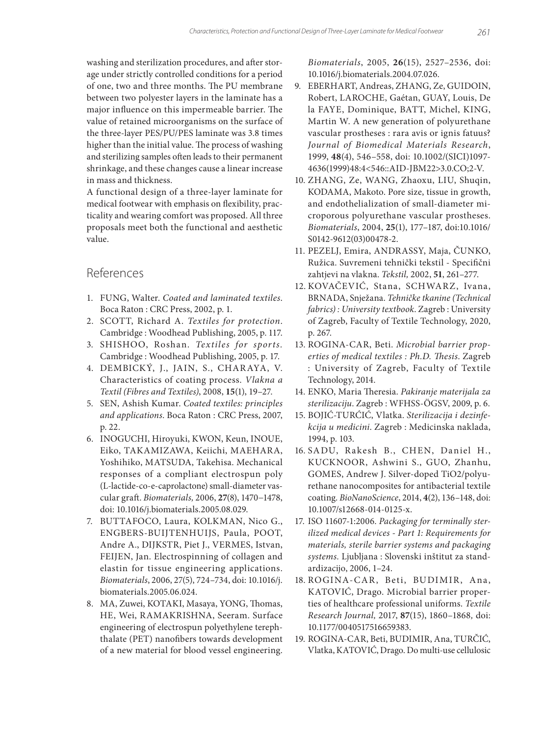washing and sterilization procedures, and after storage under strictly controlled conditions for a period of one, two and three months. The PU membrane between two polyester layers in the laminate has a major influence on this impermeable barrier. The value of retained microorganisms on the surface of the three-layer PES/PU/PES laminate was 3.8 times higher than the initial value. The process of washing and sterilizing samples often leads to their permanent shrinkage, and these changes cause a linear increase in mass and thickness.

A functional design of a three-layer laminate for medical footwear with emphasis on flexibility, practicality and wearing comfort was proposed. All three proposals meet both the functional and aesthetic value.

### References

- 1. FUNG, Walter. *Coated and laminated textiles*. Boca Raton : CRC Press, 2002, p. 1.
- 2. SCOTT, Richard A. *Textiles for protection*. Cambridge : Woodhead Publishing, 2005, p. 117.
- 3. SHISHOO, Roshan. *Textiles for sports.*  Cambridge : Woodhead Publishing, 2005, p. 17.
- 4. DEMBICKÝ, J., JAIN, S., CHARAYA, V. Characteristics of coating process. *Vlakna a Textil (Fibres and Textiles)*, 2008, **15**(1), 19–27.
- 5. SEN, Ashish Kumar. *Coated textiles: principles and applications*. Boca Raton : CRC Press, 2007, p. 22.
- 6. INOGUCHI, Hiroyuki, KWON, Keun, INOUE, Eiko, TAKAMIZAWA, Keiichi, MAEHARA, Yoshihiko, MATSUDA, Takehisa. Mechanical responses of a compliant electrospun poly (L-lactide-co-e-caprolactone) small-diameter vascular graft. *Biomaterials,* 2006, **27**(8), 1470−1478, doi: 10.1016/j.biomaterials.2005.08.029.
- 7. BUTTAFOCO, Laura, KOLKMAN, Nico G., ENGBERS-BUIJTENHUIJS, Paula, POOT, Andre A., DIJKSTR, Piet J., VERMES, Istvan, FEIJEN, Jan. Electrospinning of collagen and elastin for tissue engineering applications. *Biomaterials*, 2006, 27(5), 724–734, doi: 10.1016/j. biomaterials.2005.06.024.
- 8. MA, Zuwei, KOTAKI, Masaya, YONG, Thomas, HE, Wei, RAMAKRISHNA, Seeram. Surface engineering of electrospun polyethylene terephthalate (PET) nanofibers towards development of a new material for blood vessel engineering.

*Biomaterials*, 2005, **26**(15), 2527–2536, doi: 10.1016/j.biomaterials.2004.07.026.

- 9. EBERHART, Andreas, ZHANG, Ze, GUIDOIN, Robert, LAROCHE, Gaétan, GUAY, Louis, De la FAYE, Dominique, BATT, Michel, KING, Martin W. A new generation of polyurethane vascular prostheses : rara avis or ignis fatuus? *Journal of Biomedical Materials Research*, 1999, **48**(4), 546–558, doi: 10.1002/(SICI)1097- 4636(1999)48:4<546::AID-JBM22>3.0.CO;2-V.
- 10. ZHANG, Ze, WANG, Zhaoxu, LIU, Shuqin, KODAMA, Makoto. Pore size, tissue in growth, and endothelialization of small-diameter microporous polyurethane vascular prostheses. *Biomaterials*, 2004, **25**(1), 177–187, doi:10.1016/ S0142-9612(03)00478-2.
- 11. PEZELJ, Emira, ANDRASSY, Maja, ČUNKO, Ružica. Suvremeni tehnički tekstil - Specifični zahtjevi na vlakna. *Tekstil,* 2002, **51**, 261–277.
- 12. KOVAČEVIĆ, Stana, SCHWARZ, Ivana, BRNADA, Snježana. *Tehničke tkanine (Technical fabrics) : University textbook*. Zagreb : University of Zagreb, Faculty of Textile Technology, 2020, p. 267.
- 13. ROGINA-CAR, Beti. *Microbial barrier properties of medical textiles : Ph.D. Thesis*. Zagreb : University of Zagreb, Faculty of Textile Technology, 2014.
- 14. ENKO, Maria Theresia. *Pakiranje materijala za sterilizaciju*. Zagreb : WFHSS-ÖGSV, 2009, p. 6.
- 15. BOJIĆ-TURĆIĆ, Vlatka. *Sterilizacija i dezinfekcija u medicini*. Zagreb : Medicinska naklada, 1994, p. 103.
- 16. SADU, Ra kesh B., CHEN, Daniel H., KUCKNOOR, Ashwini S., GUO, Zhanhu, GOMES, Andrew J. Silver-doped TiO2/polyurethane nanocomposites for antibacterial textile coating. *BioNanoScience*, 2014, **4**(2), 136–148, doi: 10.1007/s12668-014-0125-x.
- 17. ISO 11607-1:2006. *Packaging for terminally sterilized medical devices - Part 1: Requirements for materials, sterile barrier systems and packaging systems.* Ljubljana : Slovenski inštitut za standardizacijo, 2006, 1–24.
- 18. ROGINA-CAR, Beti, BUDIMIR, Ana, KATOVIĆ, Drago. Microbial barrier properties of healthcare professional uniforms. *Textile Research Journal,* 2017, **87**(15), 1860–1868*,* doi: 10.1177/0040517516659383.
- 19. ROGINA-CAR, Beti, BUDIMIR, Ana, TURČIĆ, Vlatka, KATOVIĆ, Drago. Do multi-use cellulosic